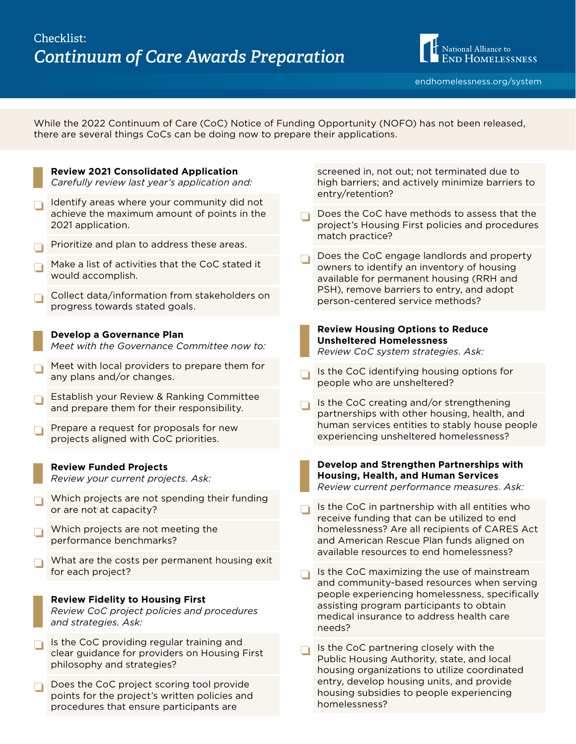

While the 2022 Continuum of Care (CoC) Notice of Funding Opportunity (NOFO) has not been released, there are several things CoCs can be doing now to prepare their applications.